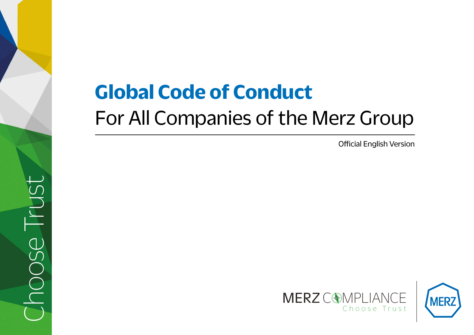# **Global Code of Conduct**  For All Companies of the Merz Group

Official English Version



Choose TrustBUT BC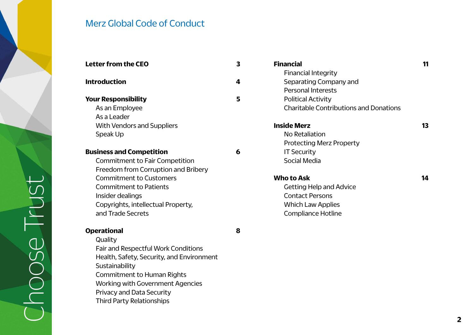

Working with Government Agencies

Privacy and Data Security Third Party Relationships

| <b>Letter from the CEO</b>                | 3 | <b>Financial</b>            |
|-------------------------------------------|---|-----------------------------|
|                                           |   | <b>Financial Integrity</b>  |
| <b>Introduction</b>                       | 4 | Separating Company          |
|                                           |   | <b>Personal Interests</b>   |
| <b>Your Responsibility</b>                | 5 | <b>Political Activity</b>   |
| As an Employee                            |   | <b>Charitable Contribut</b> |
| As a Leader                               |   |                             |
| <b>With Vendors and Suppliers</b>         |   | <b>Inside Merz</b>          |
| Speak Up                                  |   | No Retaliation              |
|                                           |   | <b>Protecting Merz Pro</b>  |
| <b>Business and Competition</b>           | 6 | <b>IT Security</b>          |
| <b>Commitment to Fair Competition</b>     |   | <b>Social Media</b>         |
| Freedom from Corruption and Bribery       |   |                             |
| <b>Commitment to Customers</b>            |   | <b>Who to Ask</b>           |
| <b>Commitment to Patients</b>             |   | Getting Help and Ad         |
| Insider dealings                          |   | <b>Contact Persons</b>      |
| Copyrights, intellectual Property,        |   | <b>Which Law Applies</b>    |
| and Trade Secrets                         |   | Compliance Hotline          |
| <b>Operational</b>                        | 8 |                             |
| Quality                                   |   |                             |
| Fair and Respectful Work Conditions       |   |                             |
| Health, Safety, Security, and Environment |   |                             |
| Sustainability                            |   |                             |
| <b>Commitment to Human Rights</b>         |   |                             |

| <b>Financial</b>                              |    |
|-----------------------------------------------|----|
| <b>Financial Integrity</b>                    |    |
| Separating Company and                        |    |
| Personal Interests                            |    |
| <b>Political Activity</b>                     |    |
| <b>Charitable Contributions and Donations</b> |    |
| <b>Inside Merz</b>                            | 13 |
| No Retaliation                                |    |
| <b>Protecting Merz Property</b>               |    |
| <b>IT Security</b>                            |    |
| Social Media                                  |    |
| Who to Ask                                    | 14 |
| <b>Getting Help and Advice</b>                |    |
| <b>Contact Persons</b>                        |    |

**2**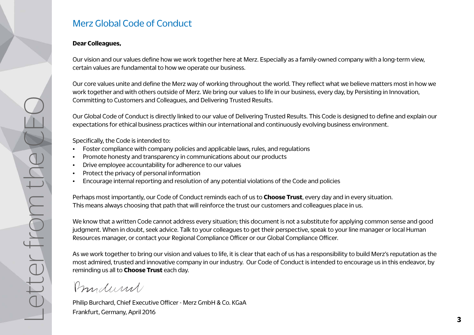#### **Dear Colleagues,**

Our vision and our values define how we work together here at Merz. Especially as a family-owned company with a long-term view, certain values are fundamental to how we operate our business.

Our core values unite and define the Merz way of working throughout the world. They reflect what we believe matters most in how we work together and with others outside of Merz. We bring our values to life in our business, every day, by Persisting in Innovation, Committing to Customers and Colleagues, and Delivering Trusted Results.

Our Global Code of Conduct is directly linked to our value of Delivering Trusted Results. This Code is designed to define and explain our expectations for ethical business practices within our international and continuously evolving business environment.

Specifically, the Code is intended to:

- Foster compliance with company policies and applicable laws, rules, and regulations
- Promote honesty and transparency in communications about our products
- Drive employee accountability for adherence to our values
- Protect the privacy of personal information
- Encourage internal reporting and resolution of any potential violations of the Code and policies

Perhaps most importantly, our Code of Conduct reminds each of us to **Choose Trust**, every day and in every situation. This means always choosing that path that will reinforce the trust our customers and colleagues place in us.

We know that a written Code cannot address every situation; this document is not a substitute for applying common sense and good judgment. When in doubt, seek advice. Talk to your colleagues to get their perspective, speak to your line manager or local Human Resources manager, or contact your Regional Compliance Officer or our Global Compliance Officer.

As we work together to bring our vision and values to life, it is clear that each of us has a responsibility to build Merz's reputation as the most admired, trusted and innovative company in our industry. Our Code of Conduct is intended to encourage us in this endeavor, by reminding us all to **Choose Trust** each day.

Prinders

Philip Burchard, Chief Executive Officer - Merz GmbH & Co. KGaA Frankfurt, Germany, April 2016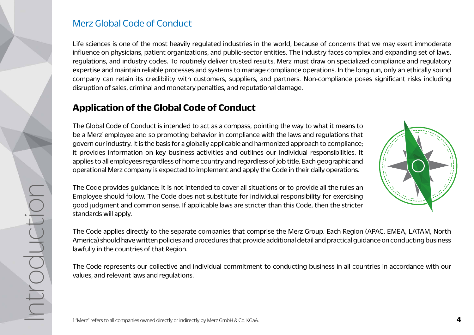Life sciences is one of the most heavily regulated industries in the world, because of concerns that we may exert immoderate influence on physicians, patient organizations, and public-sector entities. The industry faces complex and expanding set of laws, regulations, and industry codes. To routinely deliver trusted results, Merz must draw on specialized compliance and regulatory expertise and maintain reliable processes and systems to manage compliance operations. In the long run, only an ethically sound company can retain its credibility with customers, suppliers, and partners. Non-compliance poses significant risks including disruption of sales, criminal and monetary penalties, and reputational damage.

#### **Application of the Global Code of Conduct**

The Global Code of Conduct is intended to act as a compass, pointing the way to what it means to be a Merz<sup>1</sup> employee and so promoting behavior in compliance with the laws and regulations that govern our industry. It is the basis for a globally applicable and harmonized approach to compliance; it provides information on key business activities and outlines our individual responsibilities. It applies to all employees regardless of home country and regardless of job title. Each geographic and operational Merz company is expected to implement and apply the Code in their daily operations.





The Code represents our collective and individual commitment to conducting business in all countries in accordance with our values, and relevant laws and regulations.

IntroductionIroducti

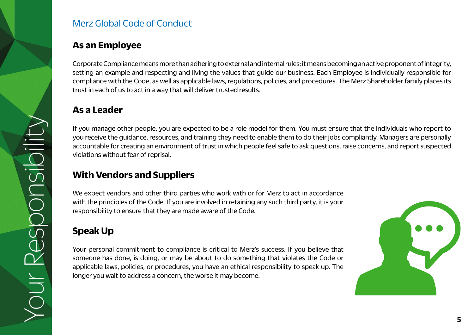#### **As an Employee**

Corporate Compliance means more than adhering to external and internal rules; it means becoming an active proponent of integrity, setting an example and respecting and living the values that guide our business. Each Employee is individually responsible for compliance with the Code, as well as applicable laws, regulations, policies, and procedures. The Merz Shareholder family places its trust in each of us to act in a way that will deliver trusted results.

#### **As a Leader**

If you manage other people, you are expected to be a role model for them. You must ensure that the individuals who report to you receive the guidance, resources, and training they need to enable them to do their jobs compliantly. Managers are personally accountable for creating an environment of trust in which people feel safe to ask questions, raise concerns, and report suspected violations without fear of reprisal.

#### **With Vendors and Suppliers**

We expect vendors and other third parties who work with or for Merz to act in accordance with the principles of the Code. If you are involved in retaining any such third party, it is your responsibility to ensure that they are made aware of the Code.

### **Speak Up**

Your Responsibility

Your Responsibility

our Resp

ponsibil

Your personal commitment to compliance is critical to Merz's success. If you believe that someone has done, is doing, or may be about to do something that violates the Code or applicable laws, policies, or procedures, you have an ethical responsibility to speak up. The longer you wait to address a concern, the worse it may become.

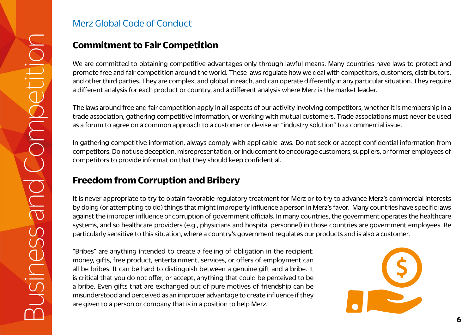We are committed to obtaining competitive advantages only through lawful means. Many countries have laws to protect and promote free and fair competition around the world. These laws regulate how we deal with competitors, customers, distributors, and other third parties. They are complex, and global in reach, and can operate differently in any particular situation. They require a different analysis for each product or country, and a different analysis where Merz is the market leader.

The laws around free and fair competition apply in all aspects of our activity involving competitors, whether it is membership in a trade association, gathering competitive information, or working with mutual customers. Trade associations must never be used as a forum to agree on a common approach to a customer or devise an "industry solution" to a commercial issue.

In gathering competitive information, always comply with applicable laws. Do not seek or accept confidential information from competitors. Do not use deception, misrepresentation, or inducement to encourage customers, suppliers, or former employees of competitors to provide information that they should keep confidential.

#### **Freedom from Corruption and Bribery**

It is never appropriate to try to obtain favorable regulatory treatment for Merz or to try to advance Merz's commercial interests by doing (or attempting to do) things that might improperly influence a person in Merz's favor. Many countries have specific laws against the improper influence or corruption of government officials. In many countries, the government operates the healthcare systems, and so healthcare providers (e.g., physicians and hospital personnel) in those countries are government employees. Be particularly sensitive to this situation, where a country's government regulates our products and is also a customer.

**Commitment to Fair Competition**<br>
we are committed to obtaining competitive advantant promote free and fair competition around the wo<br>
and other third parties. They are complex, and gla<br>
a different analysis for each produ "Bribes" are anything intended to create a feeling of obligation in the recipient: money, gifts, free product, entertainment, services, or offers of employment can all be bribes. It can be hard to distinguish between a genuine gift and a bribe. It is critical that you do not offer, or accept, anything that could be perceived to be a bribe. Even gifts that are exchanged out of pure motives of friendship can be misunderstood and perceived as an improper advantage to create influence if they are given to a person or company that is in a position to help Merz.

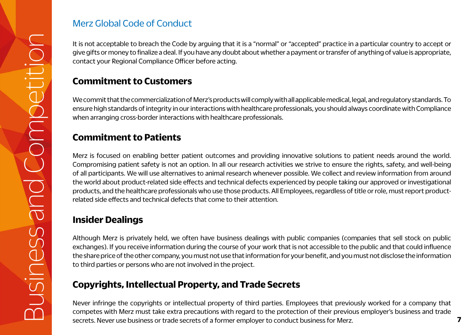give gifts or money to finalize a deal. If you have any doubt about whether a payment or transfer of anything of value is appropriate, contact your Regional Compliance Officer before acting.

#### **Commitment to Customers**

We commit that the commercialization of Merz's products will comply with all applicable medical, legal, and regulatory standards. To ensure high standards of integrity in our interactions with healthcare professionals, you should always coordinate with Compliance when arranging cross-border interactions with healthcare professionals.

#### **Commitment to Patients**

Example the form accepted procedure and Competition In the Code by arguing that it is a "normal" or "accepted" practice in a particular competition Competition In a competition of Mark about the commention of Mark and Comp Merz is focused on enabling better patient outcomes and providing innovative solutions to patient needs around the world. Compromising patient safety is not an option. In all our research activities we strive to ensure the rights, safety, and well-being of all participants. We will use alternatives to animal research whenever possible. We collect and review information from around the world about product-related side effects and technical defects experienced by people taking our approved or investigational products, and the healthcare professionals who use those products. All Employees, regardless of title or role, must report productrelated side effects and technical defects that come to their attention.

#### **Insider Dealings**

Although Merz is privately held, we often have business dealings with public companies (companies that sell stock on public exchanges). If you receive information during the course of your work that is not accessible to the public and that could influence the share price of the other company, you must not use that information for your benefit, and you must not disclose the information to third parties or persons who are not involved in the project.

#### **Copyrights, Intellectual Property, and Trade Secrets**

Never infringe the copyrights or intellectual property of third parties. Employees that previously worked for a company that competes with Merz must take extra precautions with regard to the protection of their previous employer's business and trade secrets. Never use business or trade secrets of a former employer to conduct business for Merz.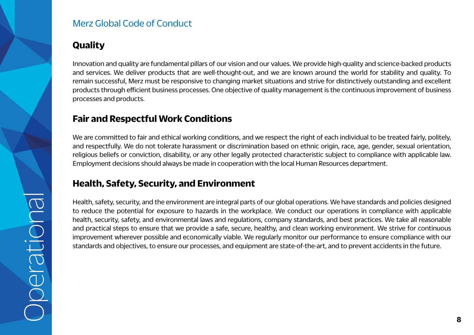#### **Quality**

Innovation and quality are fundamental pillars of our vision and our values. We provide high-quality and science-backed products and services. We deliver products that are well-thought-out, and we are known around the world for stability and quality. To remain successful, Merz must be responsive to changing market situations and strive for distinctively outstanding and excellent products through efficient business processes. One objective of quality management is the continuous improvement of business processes and products.

#### **Fair and Respectful Work Conditions**

We are committed to fair and ethical working conditions, and we respect the right of each individual to be treated fairly, politely, and respectfully. We do not tolerate harassment or discrimination based on ethnic origin, race, age, gender, sexual orientation, religious beliefs or conviction, disability, or any other legally protected characteristic subject to compliance with applicable law. Employment decisions should always be made in cooperation with the local Human Resources department.

#### **Health, Safety, Security, and Environment**

Health, safety, security, and the environment are integral parts of our global operations. We have standards and policies designed to reduce the potential for exposure to hazards in the workplace. We conduct our operations in compliance with applicable health, security, safety, and environmental laws and regulations, company standards, and best practices. We take all reasonable and practical steps to ensure that we provide a safe, secure, healthy, and clean working environment. We strive for continuous improvement wherever possible and economically viable. We regularly monitor our performance to ensure compliance with our standards and objectives, to ensure our processes, and equipment are state-of-the-art, and to prevent accidents in the future.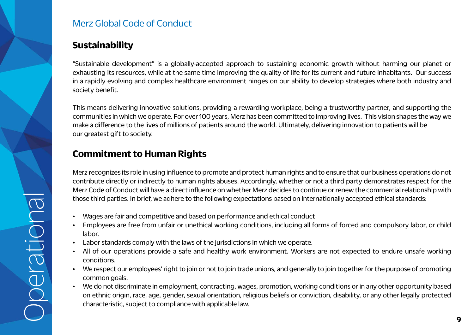#### **Sustainability**

"Sustainable development" is a globally-accepted approach to sustaining economic growth without harming our planet or exhausting its resources, while at the same time improving the quality of life for its current and future inhabitants. Our success in a rapidly evolving and complex healthcare environment hinges on our ability to develop strategies where both industry and society benefit.

This means delivering innovative solutions, providing a rewarding workplace, being a trustworthy partner, and supporting the communities in which we operate. For over 100 years, Merz has been committed to improving lives. This vision shapes the way we make a difference to the lives of millions of patients around the world. Ultimately, delivering innovation to patients will be our greatest gift to society.

#### **Commitment to Human Rights**

Merz recognizes its role in using influence to promote and protect human rights and to ensure that our business operations do not contribute directly or indirectly to human rights abuses. Accordingly, whether or not a third party demonstrates respect for the Merz Code of Conduct will have a direct influence on whether Merz decides to continue or renew the commercial relationship with those third parties. In brief, we adhere to the following expectations based on internationally accepted ethical standards:

- Wages are fair and competitive and based on performance and ethical conduct
- Employees are free from unfair or unethical working conditions, including all forms of forced and compulsory labor, or child labor.
- Labor standards comply with the laws of the jurisdictions in which we operate.
- All of our operations provide a safe and healthy work environment. Workers are not expected to endure unsafe working conditions.
- We respect our employees' right to join or not to join trade unions, and generally to join together for the purpose of promoting common goals.
- We do not discriminate in employment, contracting, wages, promotion, working conditions or in any other opportunity based on ethnic origin, race, age, gender, sexual orientation, religious beliefs or conviction, disability, or any other legally protected characteristic, subject to compliance with applicable law.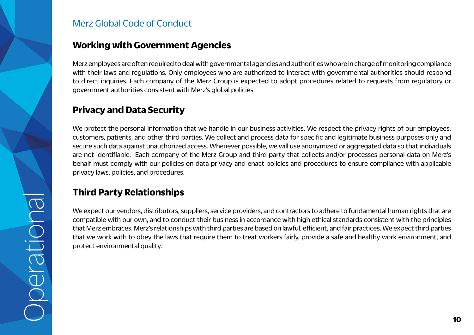

#### **Working with Government Agencies**

Merz employees are often required to deal with governmental agencies and authorities who are in charge of monitoring compliance with their laws and regulations. Only employees who are authorized to interact with governmental authorities should respond to direct inquiries. Each company of the Merz Group is expected to adopt procedures related to requests from regulatory or government authorities consistent with Merz's global policies.

#### **Privacy and Data Security**

We protect the personal information that we handle in our business activities. We respect the privacy rights of our employees, customers, patients, and other third parties. We collect and process data for specific and legitimate business purposes only and secure such data against unauthorized access. Whenever possible, we will use anonymized or aggregated data so that individuals are not identifiable. Each company of the Merz Group and third party that collects and/or processes personal data on Merz's behalf must comply with our policies on data privacy and enact policies and procedures to ensure compliance with applicable privacy laws, policies, and procedures.

#### **Third Party Relationships**

We expect our vendors, distributors, suppliers, service providers, and contractors to adhere to fundamental human rights that are compatible with our own, and to conduct their business in accordance with high ethical standards consistent with the principles that Merz embraces. Merz's relationships with third parties are based on lawful, efficient, and fair practices. We expect third parties that we work with to obey the laws that require them to treat workers fairly, provide a safe and healthy work environment, and protect environmental quality.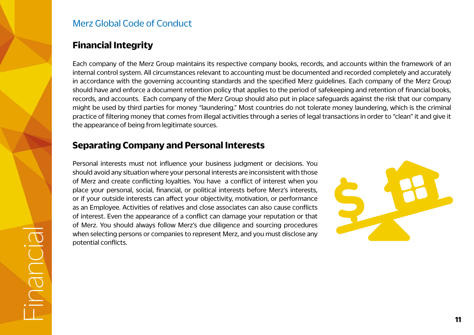#### **Financial Integrity**

Financial

Each company of the Merz Group maintains its respective company books, records, and accounts within the framework of an internal control system. All circumstances relevant to accounting must be documented and recorded completely and accurately in accordance with the governing accounting standards and the specified Merz guidelines. Each company of the Merz Group should have and enforce a document retention policy that applies to the period of safekeeping and retention of financial books, records, and accounts. Each company of the Merz Group should also put in place safeguards against the risk that our company might be used by third parties for money "laundering." Most countries do not tolerate money laundering, which is the criminal practice of filtering money that comes from illegal activities through a series of legal transactions in order to "clean" it and give it the appearance of being from legitimate sources.

#### **Separating Company and Personal Interests**

Personal interests must not influence your business judgment or decisions. You should avoid any situation where your personal interests are inconsistent with those of Merz and create conflicting loyalties. You have a conflict of interest when you place your personal, social, financial, or political interests before Merz's interests, or if your outside interests can affect your objectivity, motivation, or performance as an Employee. Activities of relatives and close associates can also cause conflicts of interest. Even the appearance of a conflict can damage your reputation or that of Merz. You should always follow Merz's due diligence and sourcing procedures when selecting persons or companies to represent Merz, and you must disclose any potential conflicts.

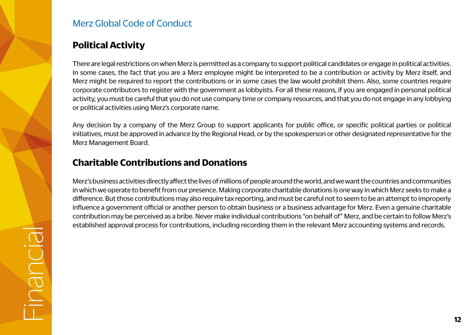#### **Political Activity**

There are legal restrictions on when Merz is permitted as a company to support political candidates or engage in political activities. In some cases, the fact that you are a Merz employee might be interpreted to be a contribution or activity by Merz itself, and Merz might be required to report the contributions or in some cases the law would prohibit them. Also, some countries require corporate contributors to register with the government as lobbyists. For all these reasons, if you are engaged in personal political activity, you must be careful that you do not use company time or company resources, and that you do not engage in any lobbying or political activities using Merz's corporate name.

Any decision by a company of the Merz Group to support applicants for public office, or specific political parties or political initiatives, must be approved in advance by the Regional Head, or by the spokesperson or other designated representative for the Merz Management Board.

#### **Charitable Contributions and Donations**

Merz's business activities directly affect the lives of millions of people around the world, and we want the countries and communities in which we operate to benefit from our presence. Making corporate charitable donations is one way in which Merz seeks to make a difference. But those contributions may also require tax reporting, and must be careful not to seem to be an attempt to improperly influence a government official or another person to obtain business or a business advantage for Merz. Even a genuine charitable contribution may be perceived as a bribe. Never make individual contributions "on behalf of" Merz, and be certain to follow Merz's established approval process for contributions, including recording them in the relevant Merz accounting systems and records.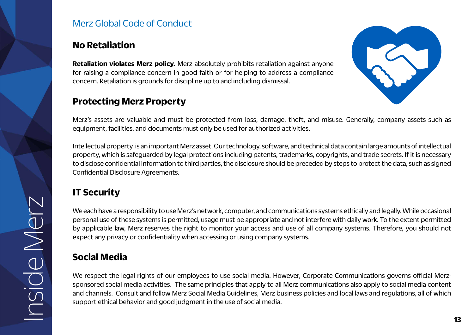#### **No Retaliation**

**Retaliation violates Merz policy.** Merz absolutely prohibits retaliation against anyone for raising a compliance concern in good faith or for helping to address a compliance concern. Retaliation is grounds for discipline up to and including dismissal.

#### **Protecting Merz Property**



Merz's assets are valuable and must be protected from loss, damage, theft, and misuse. Generally, company assets such as equipment, facilities, and documents must only be used for authorized activities.

Intellectual property is an important Merz asset. Our technology, software, and technical data contain large amounts of intellectual property, which is safeguarded by legal protections including patents, trademarks, copyrights, and trade secrets. If it is necessary to disclose confidential information to third parties, the disclosure should be preceded by steps to protect the data, such as signed Confidential Disclosure Agreements.

#### **IT Security**

We each have a responsibility to use Merz's network, computer, and communications systems ethically and legally. While occasional personal use of these systems is permitted, usage must be appropriate and not interfere with daily work. To the extent permitted by applicable law, Merz reserves the right to monitor your access and use of all company systems. Therefore, you should not expect any privacy or confidentiality when accessing or using company systems.

#### **Social Media**

We respect the legal rights of our employees to use social media. However, Corporate Communications governs official Merzsponsored social media activities. The same principles that apply to all Merz communications also apply to social media content and channels. Consult and follow Merz Social Media Guidelines, Merz business policies and local laws and regulations, all of which support ethical behavior and good judgment in the use of social media.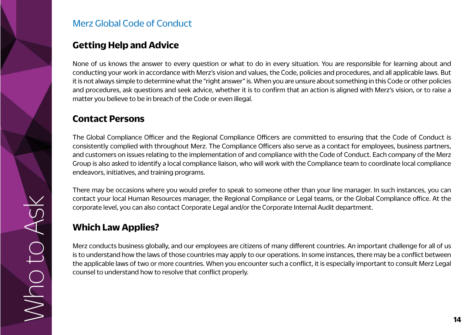

#### **Getting Help and Advice**

None of us knows the answer to every question or what to do in every situation. You are responsible for learning about and conducting your work in accordance with Merz's vision and values, the Code, policies and procedures, and all applicable laws. But it is not always simple to determine what the "right answer" is. When you are unsure about something in this Code or other policies and procedures, ask questions and seek advice, whether it is to confirm that an action is aligned with Merz's vision, or to raise a matter you believe to be in breach of the Code or even illegal.

#### **Contact Persons**

The Global Compliance Officer and the Regional Compliance Officers are committed to ensuring that the Code of Conduct is consistently complied with throughout Merz. The Compliance Officers also serve as a contact for employees, business partners, and customers on issues relating to the implementation of and compliance with the Code of Conduct. Each company of the Merz Group is also asked to identify a local compliance liaison, who will work with the Compliance team to coordinate local compliance endeavors, initiatives, and training programs.

There may be occasions where you would prefer to speak to someone other than your line manager. In such instances, you can contact your local Human Resources manager, the Regional Compliance or Legal teams, or the Global Compliance office. At the corporate level, you can also contact Corporate Legal and/or the Corporate Internal Audit department.

#### **Which Law Applies?**

Merz conducts business globally, and our employees are citizens of many different countries. An important challenge for all of us is to understand how the laws of those countries may apply to our operations. In some instances, there may be a conflict between the applicable laws of two or more countries. When you encounter such a conflict, it is especially important to consult Merz Legal counsel to understand how to resolve that conflict properly.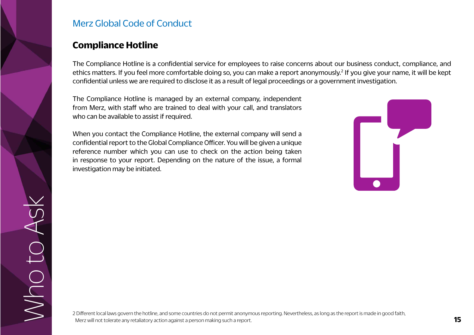#### **Compliance Hotline**

The Compliance Hotline is a confidential service for employees to raise concerns about our business conduct, compliance, and ethics matters. If you feel more comfortable doing so, you can make a report anonymously.<sup>2</sup> If you give your name, it will be kept confidential unless we are required to disclose it as a result of legal proceedings or a government investigation.

The Compliance Hotline is managed by an external company, independent from Merz, with staff who are trained to deal with your call, and translators who can be available to assist if required.

When you contact the Compliance Hotline, the external company will send a confidential report to the Global Compliance Officer. You will be given a unique reference number which you can use to check on the action being taken in response to your report. Depending on the nature of the issue, a formal investigation may be initiated.



Who to Ask

JJ OUN

OASK